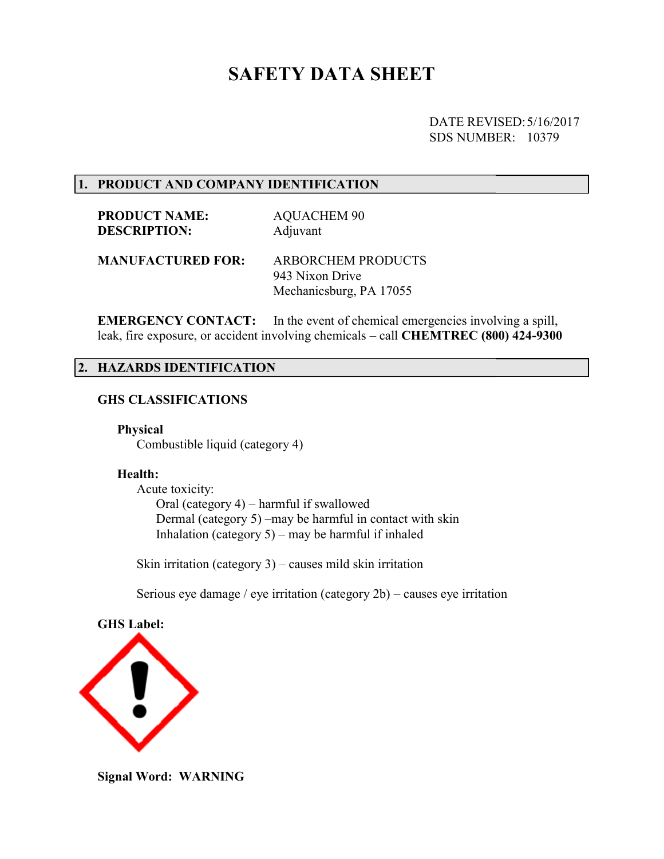# SAFETY DATA SHEET

DATE REVISED: REVISED: 5/16/2017 SDS NUMBER: 10379

#### 1. PRODUCT AND COMPANY IDENTIFICATION

PRODUCT NAME: DESCRIPTION: AQUACHEM 90 Adjuvant

MANUFACTURED FOR: ARBORCHEM PRODUCTS 943 Nixon Drive Mechanicsburg, PA 17055

EMERGENCY CONTACT: leak, fire exposure, or accident involving chemicals – call CHEMTREC (800) 424-9300 In the event of chemical emergencies involving a spill,

#### 2. HAZARDS IDENTIFICATION HAZARDS IDENTIFICATION

#### GHS CLASSIFICATIONS

Physical

Combustible liquid (category 4)

#### Health:

 Acute toxicity: Combustible liquid (category 4)<br> **Health:**<br>
Acute toxicity:<br>
Oral (category 4) – harmful if swallowed Dermal (category 5 5) –may be harmful in contact with skin Inhalation (category 5 5) – may be harmful if inhaled

Skin irritation (category 3 3) – causes mild skin irritation

Serious eye damage / eye irritation (category  $2b$ ) – causes eye irritation



Signal Word: WARNING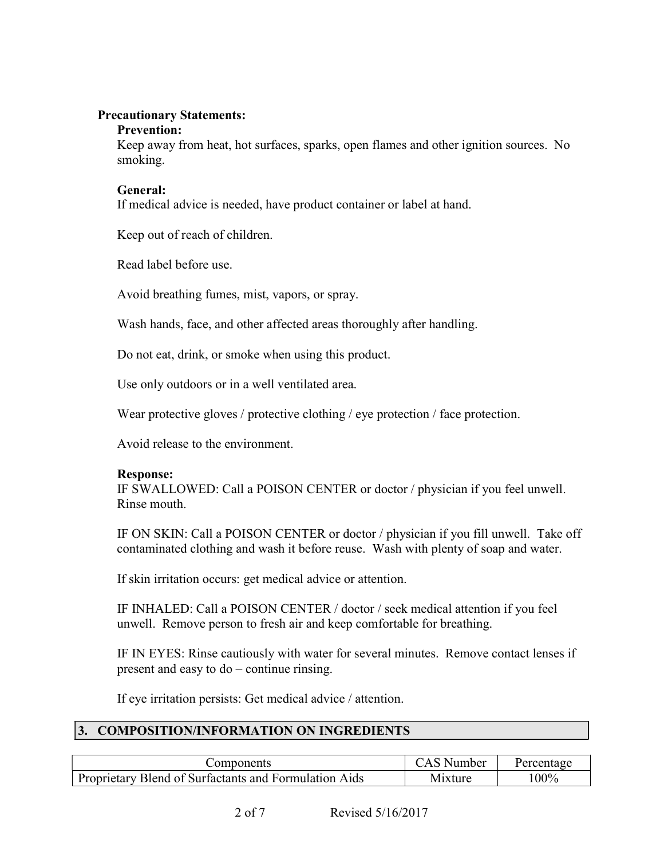## Precautionary Statements:

#### Prevention:

 Keep away from heat, hot surfaces, sparks, open flames and other ignition sources. No smoking.

## General:

If medical advice is needed, have product container or label at hand.

Keep out of reach of children.

Read label before use.

Avoid breathing fumes, mist, vapors, or spray.

Wash hands, face, and other affected areas thoroughly after handling.

Do not eat, drink, or smoke when using this product.

Use only outdoors or in a well ventilated area.

Wear protective gloves / protective clothing / eye protection / face protection.

Avoid release to the environment.

## Response:

IF SWALLOWED: Call a POISON CENTER or doctor / physician if you feel unwell. Rinse mouth.

IF ON SKIN: Call a POISON CENTER or doctor / physician if you fill unwell. Take off contaminated clothing and wash it before reuse. Wash with plenty of soap and water.

If skin irritation occurs: get medical advice or attention.

 IF INHALED: Call a POISON CENTER / doctor / seek medical attention if you feel unwell. Remove person to fresh air and keep comfortable for breathing.

IF IN EYES: Rinse cautiously with water for several minutes. Remove contact lenses if present and easy to do – continue rinsing.

If eye irritation persists: Get medical advice / attention.

# 3. COMPOSITION/INFORMATION ON INGREDIENTS

| :omponents                                                 | Number      |      |
|------------------------------------------------------------|-------------|------|
| v Blend of Surfactants and Formulation Aids<br>Proprietary | M<br>1xture | 100% |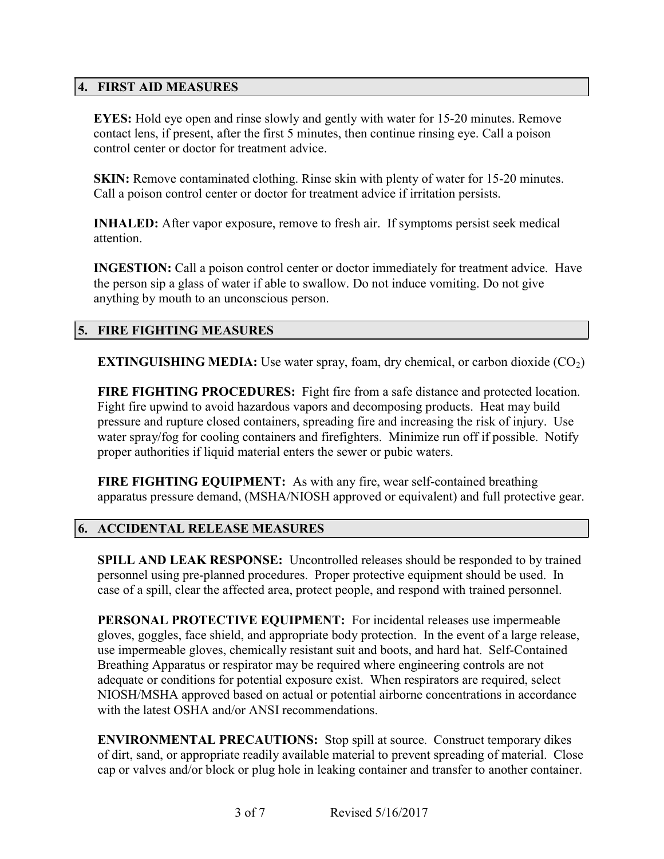# 4. FIRST AID MEASURES

EYES: Hold eye open and rinse slowly and gently with water for 15-20 minutes. Remove contact lens, if present, after the first 5 minutes, then continue rinsing eye. Call a poison control center or doctor for treatment advice.

SKIN: Remove contaminated clothing. Rinse skin with plenty of water for 15-20 minutes. Call a poison control center or doctor for treatment advice if irritation persists.

INHALED: After vapor exposure, remove to fresh air. If symptoms persist seek medical attention.

INGESTION: Call a poison control center or doctor immediately for treatment advice. Have the person sip a glass of water if able to swallow. Do not induce vomiting. Do not give anything by mouth to an unconscious person.

# 5. FIRE FIGHTING MEASURES

**EXTINGUISHING MEDIA:** Use water spray, foam, dry chemical, or carbon dioxide  $(CO<sub>2</sub>)$ 

FIRE FIGHTING PROCEDURES: Fight fire from a safe distance and protected location. Fight fire upwind to avoid hazardous vapors and decomposing products. Heat may build pressure and rupture closed containers, spreading fire and increasing the risk of injury. Use water spray/fog for cooling containers and firefighters. Minimize run off if possible. Notify proper authorities if liquid material enters the sewer or pubic waters.

FIRE FIGHTING EQUIPMENT: As with any fire, wear self-contained breathing apparatus pressure demand, (MSHA/NIOSH approved or equivalent) and full protective gear.

## 6. ACCIDENTAL RELEASE MEASURES

SPILL AND LEAK RESPONSE: Uncontrolled releases should be responded to by trained personnel using pre-planned procedures. Proper protective equipment should be used. In case of a spill, clear the affected area, protect people, and respond with trained personnel.

PERSONAL PROTECTIVE EQUIPMENT: For incidental releases use impermeable gloves, goggles, face shield, and appropriate body protection. In the event of a large release, use impermeable gloves, chemically resistant suit and boots, and hard hat. Self-Contained Breathing Apparatus or respirator may be required where engineering controls are not adequate or conditions for potential exposure exist. When respirators are required, select NIOSH/MSHA approved based on actual or potential airborne concentrations in accordance with the latest OSHA and/or ANSI recommendations.

ENVIRONMENTAL PRECAUTIONS: Stop spill at source. Construct temporary dikes of dirt, sand, or appropriate readily available material to prevent spreading of material. Close cap or valves and/or block or plug hole in leaking container and transfer to another container.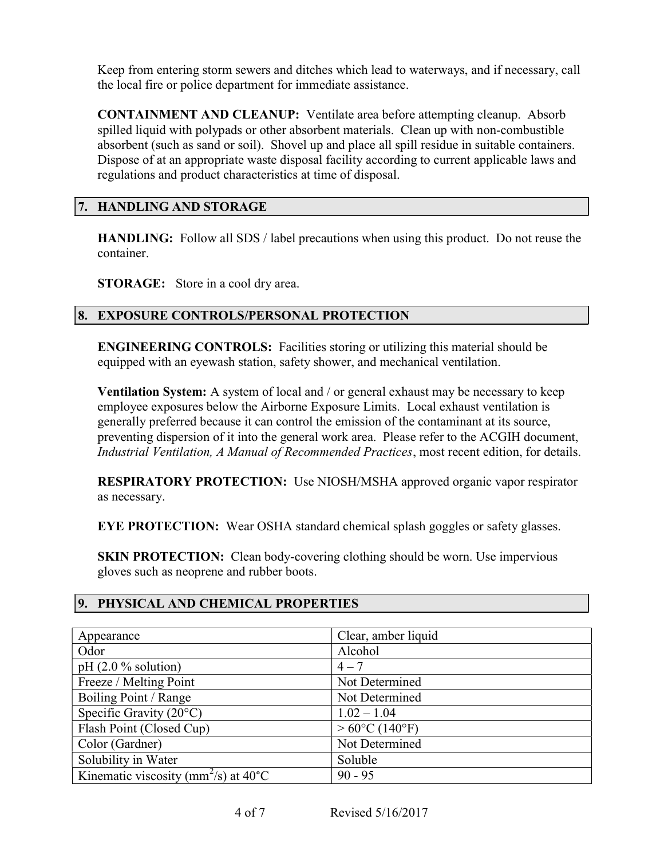Keep from entering storm sewers and ditches which lead to waterways, and if necessary, call the local fire or police department for immediate assistance.

CONTAINMENT AND CLEANUP: Ventilate area before attempting cleanup. Absorb spilled liquid with polypads or other absorbent materials. Clean up with non-combustible absorbent (such as sand or soil). Shovel up and place all spill residue in suitable containers. Dispose of at an appropriate waste disposal facility according to current applicable laws and regulations and product characteristics at time of disposal.

# 7. HANDLING AND STORAGE

HANDLING: Follow all SDS / label precautions when using this product. Do not reuse the container.

STORAGE: Store in a cool dry area.

# 8. EXPOSURE CONTROLS/PERSONAL PROTECTION

ENGINEERING CONTROLS: Facilities storing or utilizing this material should be equipped with an eyewash station, safety shower, and mechanical ventilation.

Ventilation System: A system of local and / or general exhaust may be necessary to keep employee exposures below the Airborne Exposure Limits. Local exhaust ventilation is generally preferred because it can control the emission of the contaminant at its source, preventing dispersion of it into the general work area. Please refer to the ACGIH document, Industrial Ventilation, A Manual of Recommended Practices, most recent edition, for details.

RESPIRATORY PROTECTION: Use NIOSH/MSHA approved organic vapor respirator as necessary.

EYE PROTECTION: Wear OSHA standard chemical splash goggles or safety glasses.

**SKIN PROTECTION:** Clean body-covering clothing should be worn. Use impervious gloves such as neoprene and rubber boots.

# 9. PHYSICAL AND CHEMICAL PROPERTIES

| Appearance                                                    | Clear, amber liquid      |
|---------------------------------------------------------------|--------------------------|
| Odor                                                          | Alcohol                  |
| pH $(2.0 %$ solution)                                         | $4 - 7$                  |
| Freeze / Melting Point                                        | Not Determined           |
| Boiling Point / Range                                         | Not Determined           |
| Specific Gravity $(20^{\circ}C)$                              | $1.02 - 1.04$            |
| Flash Point (Closed Cup)                                      | $> 60^{\circ}$ C (140°F) |
| Color (Gardner)                                               | Not Determined           |
| Solubility in Water                                           | Soluble                  |
| Kinematic viscosity (mm <sup>2</sup> /s) at 40 <sup>°</sup> C | $90 - 95$                |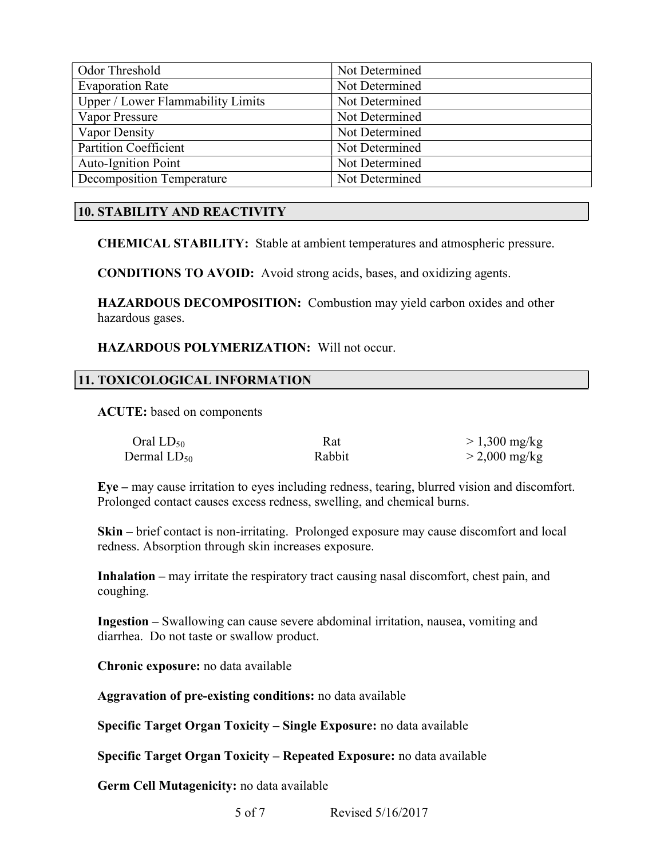| Odor Threshold                    | Not Determined |
|-----------------------------------|----------------|
| <b>Evaporation Rate</b>           | Not Determined |
| Upper / Lower Flammability Limits | Not Determined |
| Vapor Pressure                    | Not Determined |
| Vapor Density                     | Not Determined |
| <b>Partition Coefficient</b>      | Not Determined |
| <b>Auto-Ignition Point</b>        | Not Determined |
| <b>Decomposition Temperature</b>  | Not Determined |

# 10. STABILITY AND REACTIVITY

CHEMICAL STABILITY: Stable at ambient temperatures and atmospheric pressure.

CONDITIONS TO AVOID: Avoid strong acids, bases, and oxidizing agents.

HAZARDOUS DECOMPOSITION: Combustion may yield carbon oxides and other hazardous gases.

HAZARDOUS POLYMERIZATION: Will not occur.

## 11. TOXICOLOGICAL INFORMATION

ACUTE: based on components

| Oral $LD_{50}$   | Rat    | $> 1,300 \text{ mg/kg}$ |
|------------------|--------|-------------------------|
| Dermal $LD_{50}$ | Rabbit | $>$ 2,000 mg/kg         |

Eye – may cause irritation to eyes including redness, tearing, blurred vision and discomfort. Prolonged contact causes excess redness, swelling, and chemical burns.

Skin – brief contact is non-irritating. Prolonged exposure may cause discomfort and local redness. Absorption through skin increases exposure.

Inhalation – may irritate the respiratory tract causing nasal discomfort, chest pain, and coughing.

Ingestion – Swallowing can cause severe abdominal irritation, nausea, vomiting and diarrhea. Do not taste or swallow product.

Chronic exposure: no data available

Aggravation of pre-existing conditions: no data available

Specific Target Organ Toxicity – Single Exposure: no data available

Specific Target Organ Toxicity – Repeated Exposure: no data available

Germ Cell Mutagenicity: no data available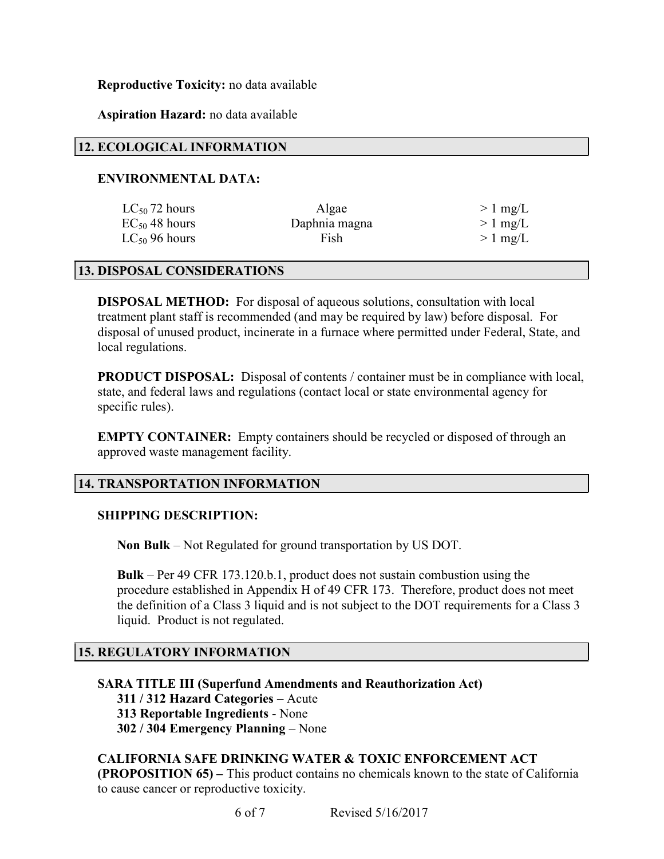## Reproductive Toxicity: no data available

## Aspiration Hazard: no data available

## 12. ECOLOGICAL INFORMATION

## ENVIRONMENTAL DATA:

| $LC_{50}$ 72 hours | Algae         | $>1$ mg/L |
|--------------------|---------------|-----------|
| $EC_{50}$ 48 hours | Daphnia magna | $>1$ mg/L |
| $LC_{50}$ 96 hours | Fish          | $>1$ mg/L |

#### 13. DISPOSAL CONSIDERATIONS

DISPOSAL METHOD: For disposal of aqueous solutions, consultation with local treatment plant staff is recommended (and may be required by law) before disposal. For disposal of unused product, incinerate in a furnace where permitted under Federal, State, and local regulations.

PRODUCT DISPOSAL: Disposal of contents / container must be in compliance with local, state, and federal laws and regulations (contact local or state environmental agency for specific rules).

EMPTY CONTAINER: Empty containers should be recycled or disposed of through an approved waste management facility.

## 14. TRANSPORTATION INFORMATION

#### SHIPPING DESCRIPTION:

Non Bulk – Not Regulated for ground transportation by US DOT.

Bulk – Per 49 CFR 173.120.b.1, product does not sustain combustion using the procedure established in Appendix H of 49 CFR 173. Therefore, product does not meet the definition of a Class 3 liquid and is not subject to the DOT requirements for a Class 3 liquid. Product is not regulated.

#### 15. REGULATORY INFORMATION

SARA TITLE III (Superfund Amendments and Reauthorization Act) 311 / 312 Hazard Categories – Acute 313 Reportable Ingredients - None 302 / 304 Emergency Planning – None

CALIFORNIA SAFE DRINKING WATER & TOXIC ENFORCEMENT ACT (PROPOSITION 65) – This product contains no chemicals known to the state of California to cause cancer or reproductive toxicity.

6 of 7 Revised 5/16/2017